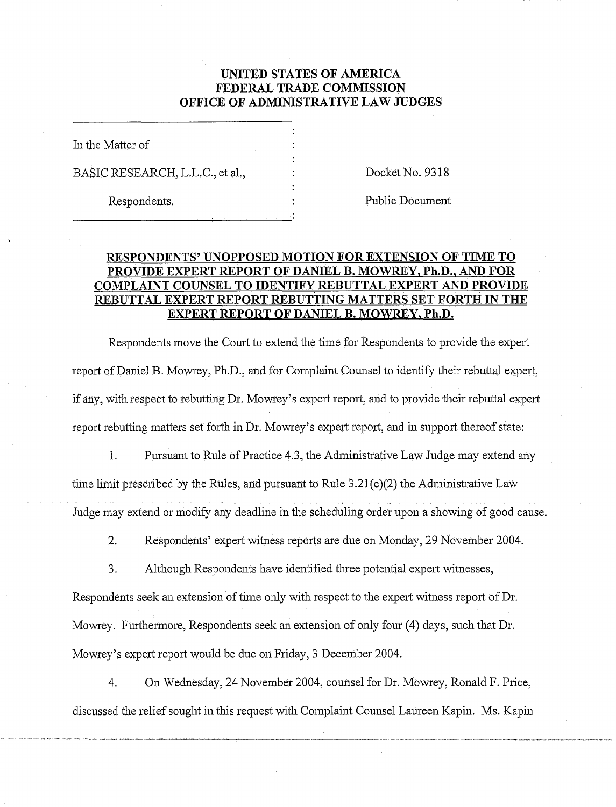# **UNITED STATES OF AMERICA FEDERAL TRADE COMMISSION OFFICE OF ADMINISTRATIVE LAW JUDGES**

In the Matter of BASIC RESEARCH, L.L.C., et al.,  $\qquad \qquad$  : Docket No. 9318

Respondents.  $\qquad \qquad : \qquad \qquad$  Public Document

# **RESPONDENTS' UNOPPOSED MOTION FOR EXTENSION OF TIME TO PROVIDE EXPERT REPORT OF DANIEL B. MOWREY, Ph.D., AND FOR COMPLAINT COUNSEL TO IDENTIFY REBUTTAL EXPERT AND PROVIDE REBUTTAL EXPERT REPORT REBUTTING MATTERS SET FORTH IN THE EXPERT REPORT OF DANIEL B. MOWREY, Ph.D.**

Respondents move the Court to extend the time for Respondents to provide the expert report of Daniel B. Mowrey, Ph.D., and for Complaint Counsel to identify their rebuttal expert, if any, with respect to rebutting Dr. Mowrey's expert report, and to provide their rebuttal expert report rebutting matters set forth in Dr. Mowrey's expert report, and in support thereof state:

1. Pursuant to Rule of Practice 4.3, the Administrative Law Judge may extend any time limit prescribed by the Rules, and pursuant to Rule  $3.21(c)(2)$  the Administrative Law Judge may extend or modify any deadline in the scheduling order upon a showing of good cause.

2. Respondents' expert witness reports are due on Monday, 29 November 2004.

3. Although Respondents have identified three potential expert witnesses,

Respondents seek an extension of time only with respect to the expert witness report of Dr. Mowrey. Furthermore, Respondents seek an extension of only four (4) days, such that Dr. Mowrey's expert report would be due on Friday, 3 December 2004.

4, On Wednesday, 24 November 2004, counsel for Dr. Mowrey, Ronald F. Price, discussed the relief sought in this request with Complaint Counsel Laureen Kapin. Ms. Kapin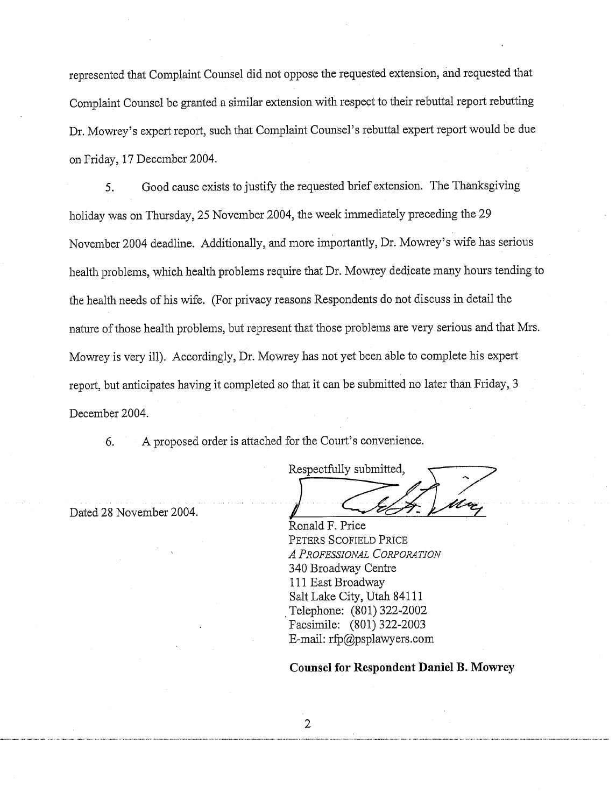represented that Complaint Counsel did not oppose the requested extension, and requested that Complaint Counsel be granted a similar extension with respect to their rebuttal report rebutting Dr. Mowrey's expert report, such that Comnplaint Counsel's rebuttal expert report would be due on Friday, 17 December 2004.

5. Good cause exists to justify the requested brief extension. The Thanksgiving holiday was on Thursday, 25 November 2004, the week immediately preceding the 29 November 2004 deadline. Additionally, and more importantly, Dr. Mowrey's wife has serious health problems, which health problems require that Dr. Mowrey dedicate many hours tending to the health needs of his wife. (For privacy reasons Respondents do not discuss in detail the nature of those health problems, but represent that those problems are very serious and that Mrs. Mowrey is very ill). Accordingly, Dr. Mowrey has not yet been able to complete his expert report, but anticipates having it completed so that it can be submitted no later than Friday, 3 December 2004.

6. A proposed order is attached for the Court's convenience.

Respecthlly submitted,

Dated 28 November 2004.

konald F. Price PETERS SCOFIELD PRICE *A PROFESSIONAL CORPORATION*  340 Broadway Centre 111 East Broadway Salt Lake City, Utah 84111 Telephone: (801) 322-2002 Facsimile: (801) 322-2003 E-mail:  $rfp@psplawyers.com$ 

### **Counsel for Respondent Daniel B. Mowrey**

 $\overline{2}$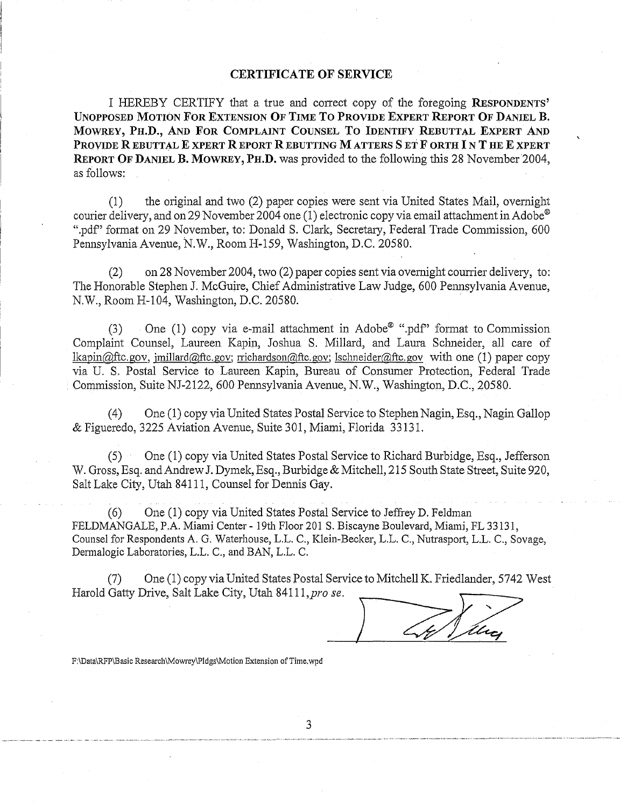#### **CERTIFICATE OF SERVICE**

I IIEEBY CERTIFY that a true and correct copy of the foregoing **RESPONDENTS' UNOPPOSED MOTION FOR EXTENSION OF TIME TO PROVIDE EXPERT REPORT OF DANIEL B. MOWREY, PILD., AND FOR COMPLAINT COUNSEL TO IDENTIFY REBUTTAL EXPERT AND PROVIDE R EBUTTAL E XPERT R EPORT R EBUTTING M ATTERS S ET F ORTH 1 N T HE E XPERT REPORT OF DANIEL B. MOWREY, PH.D.** was provided to the following this 28 November 2004, as follows:

(1) the original and two (2) paper copies were sent via United States Mail, overnight courier delivery, and on 29 November 2004 one (1) electronic copy via email attachment in Adobe® ".pdf" format on 29 November, to: Donald S. Clark, Secretary, Federal Trade Commission, 600 Pennsylvania Avenue, N.W., Room H-159, Washington, D.C. 20580.

 $(2)$  on 28 November 2004, two  $(2)$  paper copies sent via overnight courrier delivery, to: The Honorable Stephen J. McGuire, Chief Administrative Law Judge, 600 Pennsylvania Avenue, N.W., Room H-104, Washington, D.C. 20580.

(3) One (1) copy via e-mail attachment in Adobe<sup>®</sup> ".pdf" format to Commission Complaint Counsel, Laureen Kapin, Joshua S. Millard, and Laura Schneider, all care of lkapin@ftc.gov, imillard@ftc.gov; rrichardson@ftc.gov; lschneider@ftc.gov with one (1) paper copy via U. S. Postal Service to Laureen Kapin, Bureau of Conswner Protection, Federal Trade Commission, Suite NJ-2122, 600 Pemsylvania Avenue, N.W., Washington, D.C., 20580.

(4) One (1) copy via United States Postal Service to Stephen Nagin, Esq., Nagin Gallop & Figueredo, 3225 Aviation Avenue, Suite 301, Miami, Florida 33131.

 $(5)$  One (1) copy via United States Postal Service to Richard Burbidge, Esq., Jefferson W. Gross, Esq. and Andrew J. Dymek, Esq., Burbidge & Mitchell, 215 South State Street, Suite 920, Salt Lake City, Utah 841 11, Counsel for Dennis Gay.

(6) One (1) copy via United States Postal Service to Jeffrey D. Feldman FELDMANGALE, P.A. Miami Center - 19th Floor 201 S. Biscayne Boulevard, Miami, FL 33131, Counsel for Respondents A. G. Waterhouse, L.L. C., Klein-Becker, L.L. C., Nutrasport, L.L. C., Sovage, Dermalogic Laboratories, L.L. C., and BAN, L.L. C.

(7) One (1) copy via United States Postal Service to Mitchell K. Friedlander, 5742 West<br>Harold Gatty Drive, Salt Lake City, Utah 84111, pro se.

F:\Data\RFP\Basic **Research\Mowrey\Pldgs\Motion** Extension of Time.wpd

 $\overline{3}$